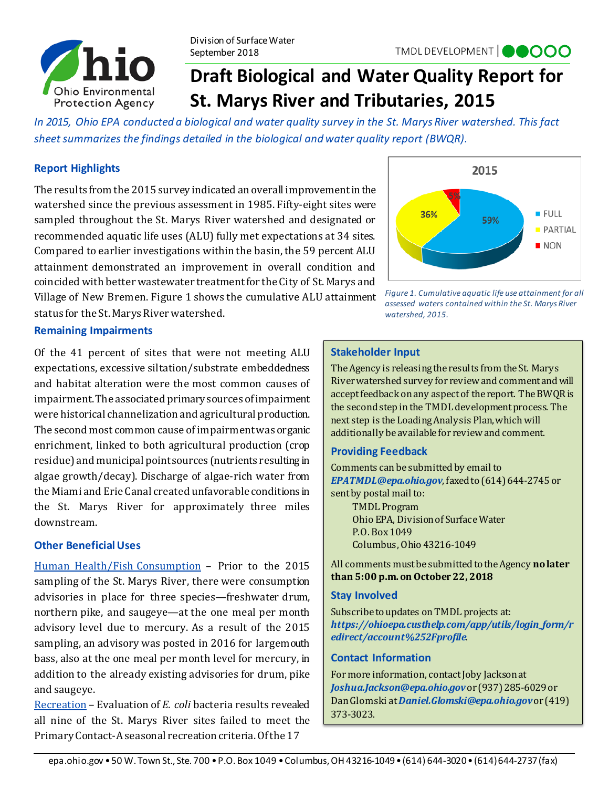

# **Draft Biological and Water Quality Report for St. Marys River and Tributaries, 2015**

*In 2015, Ohio EPA conducted a biological and water quality survey in the St. Marys River watershed. This fact sheet summarizes the findings detailed in the biological and water quality report (BWQR).*

# **Report Highlights**

The results from the 2015 survey indicated an overall improvement in the watershed since the previous assessment in 1985. Fifty-eight sites were sampled throughout the St. Marys River watershed and designated or recommended aquatic life uses (ALU) fully met expectations at 34 sites. Compared to earlier investigations within the basin, the 59 percent ALU attainment demonstrated an improvement in overall condition and coincided with better wastewater treatment for the City of St. Marys and Village of New Bremen. Figure 1 shows the cumulative ALU attainment status for the St. Marys River watershed.



*assessed waters contained within the St. Marys River watershed, 2015.*

## **Remaining Impairments**

Of the 41 percent of sites that were not meeting ALU expectations, excessive siltation/substrate embeddedness and habitat alteration were the most common causes of impairment. The associated primary sources of impairment were historical channelization and agricultural production. The second most common cause of impairment was organic enrichment, linked to both agricultural production (crop residue) and municipal point sources (nutrients resulting in algae growth/decay). Discharge of algae-rich water from the Miami and Erie Canal created unfavorable conditions in the St. Marys River for approximately three miles downstream.

#### **Other Beneficial Uses**

Human Health/Fish Consumption – Prior to the 2015 sampling of the St. Marys River, there were consumption advisories in place for three species—freshwater drum, northern pike, and saugeye—at the one meal per month advisory level due to mercury. As a result of the 2015 sampling, an advisory was posted in 2016 for largemouth bass, also at the one meal per month level for mercury, in addition to the already existing advisories for drum, pike and saugeye.

Recreation – Evaluation of *E. coli* bacteria results revealed all nine of the St. Marys River sites failed to meet the Primary Contact-A seasonal recreation criteria. Of the 17

#### **Stakeholder Input**

The Agency is releasing the results from the St. Marys River watershed survey for review and comment and will accept feedback on any aspect of the report. The BWQR is the second step in the TMDL development process. The next step is the Loading Analysis Plan, which will additionally be available for review and comment.

#### **Providing Feedback**

Comments can be submitted by email to *[EPATMDL@epa.ohio.gov](mailto:EPATMDL@epa.ohio.gov)*, faxed to (614) 644-2745 or sent by postal mail to:

TMDL Program Ohio EPA, Division of Surface Water P.O. Box 1049 Columbus, Ohio 43216-1049

All comments must be submitted to the Agency **no later than 5:00 p.m. on October 22, 2018**

#### **Stay Involved**

Subscribe to updates on TMDL projects at: *[https://ohioepa.custhelp.com/app/utils/login\\_form/r](https://ohioepa.custhelp.com/app/utils/login_form/redirect/account%252Fprofile) [edirect/account%252Fprofile](https://ohioepa.custhelp.com/app/utils/login_form/redirect/account%252Fprofile)*.

#### **Contact Information**

For more information, contact Joby Jacksonat *Joshua.Jackson@epa.ohio.gov*or (937) 285-6029 or Dan Glomski at *Daniel.Glomski@epa.ohio.gov*or (419) 373-3023.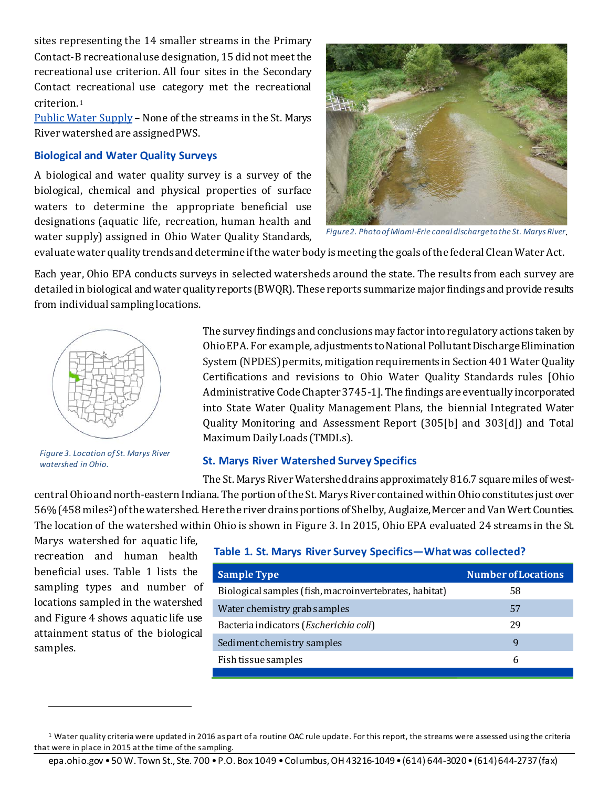sites representing the 14 smaller streams in the Primary Contact-B recreational use designation, 15 did not meet the recreational use criterion. All four sites in the Secondary Contact [re](#page-1-0)creational use category met the recreational criterion.1

Public Water Supply – None of the streams in the St. Marys River watershed are assigned PWS.

#### **Biological and Water Quality Surveys**

A biological and water quality survey is a survey of the biological, chemical and physical properties of surface waters to determine the appropriate beneficial use designations (aquatic life, recreation, human health and water supply) assigned in Ohio Water Quality Standards,



*Figure 2. Photo of Miami-Erie canal discharge to the St. Marys River*.

evaluate water quality trends and determine if the water body is meeting the goals of the federal Clean Water Act.

Each year, Ohio EPA conducts surveys in selected watersheds around the state. The results from each survey are detailed in biological and water quality reports (BWQR). These reports summarize major findings and provide results from individual sampling locations.



*Figure 3. Location of St. Marys River watershed in Ohio.* 

The survey findings and conclusions may factor into regulatory actions taken by Ohio EPA. For example*,* adjustments to National Pollutant Discharge Elimination System (NPDES) permits, mitigation requirements in Section 401 Water Quality Certifications and revisions to Ohio Water Quality Standards rules [Ohio Administrative Code Chapter 3745-1]. The findings are eventually incorporated into State Water Quality Management Plans, the biennial Integrated Water Quality Monitoring and Assessment Report (305[b] and 303[d]) and Total Maximum Daily Loads (TMDLs).

# **St. Marys River Watershed Survey Specifics**

The St. Marys River Watershed drains approximately 816.7 square miles of westcentral Ohio and north-eastern Indiana. The portion of the St. Marys River contained within Ohio constitutes just over 56% (458 miles2) of the watershed. Here the river drains portions of Shelby, Auglaize, Mercer and Van Wert Counties. The location of the watershed within Ohio is shown in Figure 3. In 2015, Ohio EPA evaluated 24 streams in the St.

Marys watershed for aquatic life, recreation and human health beneficial uses. Table 1 lists the sampling types and number of locations sampled in the watershed and Figure 4 shows aquatic life use attainment status of the biological samples.

l

# **Table 1. St. Marys River Survey Specifics—What was collected?**

| <b>Sample Type</b>                                     | <b>Number of Locations</b> |
|--------------------------------------------------------|----------------------------|
| Biological samples (fish, macroinvertebrates, habitat) | 58                         |
| Water chemistry grab samples                           | 57                         |
| Bacteria indicators (Escherichia coli)                 | 29                         |
| Sediment chemistry samples                             | q                          |
| Fish tissue samples                                    | h                          |

j

<span id="page-1-0"></span><sup>&</sup>lt;sup>1</sup> Water quality criteria were updated in 2016 as part of a routine OAC rule update. For this report, the streams were assessed using the criteria that were in place in 2015 at the time of the sampling.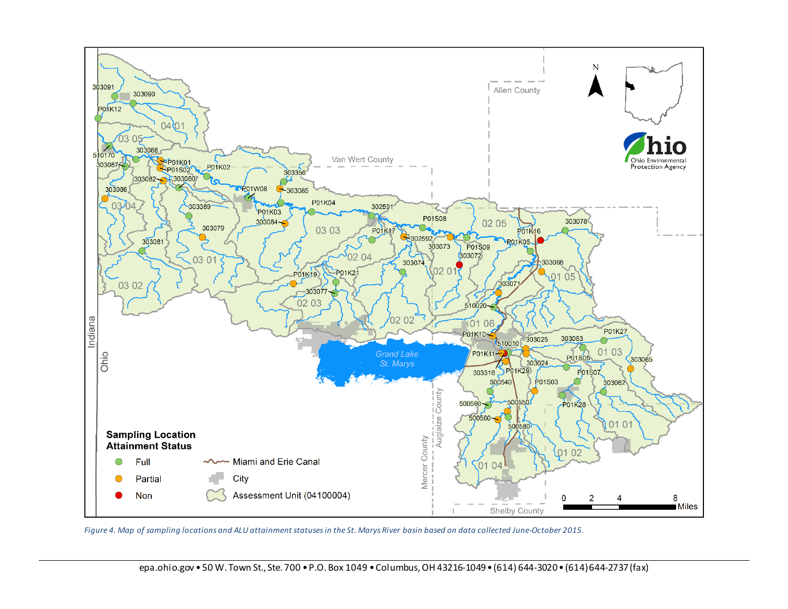

 *Figure 4. Map of sampling locations and ALU attainment statuses in the St. Marys River basin based on data collected June-October 2015.*